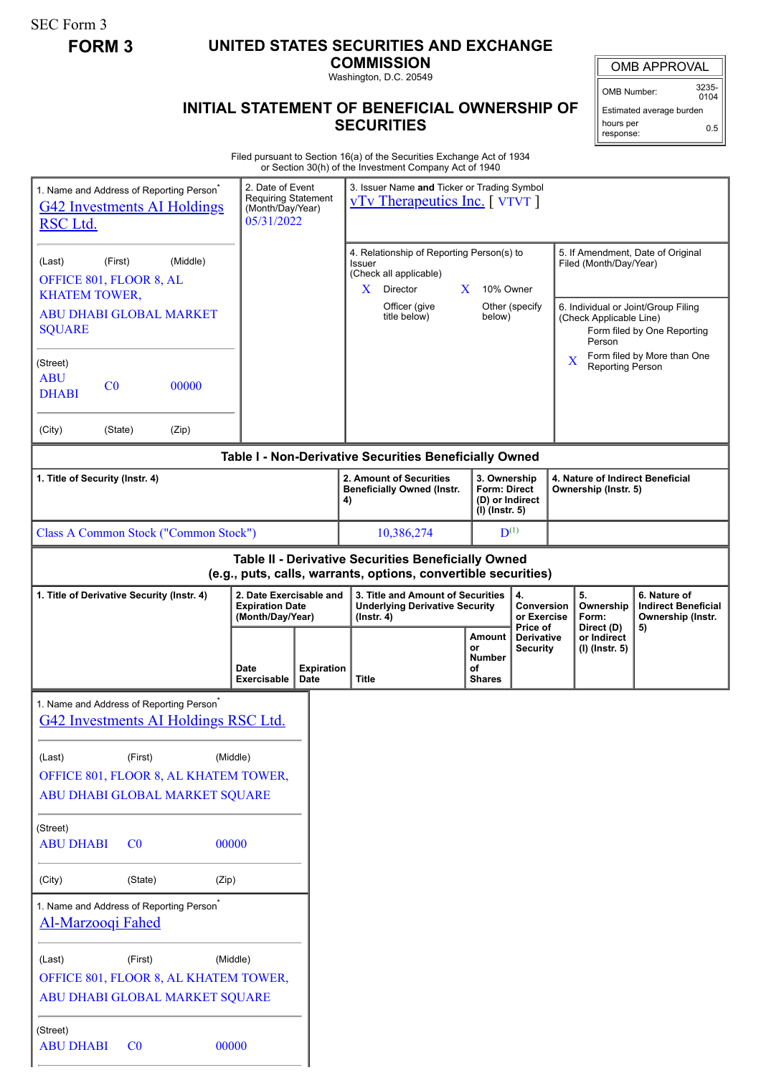SEC Form 3

# **FORM 3 UNITED STATES SECURITIES AND EXCHANGE**

**COMMISSION** Washington, D.C. 20549

## **INITIAL STATEMENT OF BENEFICIAL OWNERSHIP OF SECURITIES**

OMB APPROVAL

OMB Number: 3235-  $0104$ 

Estimated average burden hours per response: 0.5

Filed pursuant to Section 16(a) of the Securities Exchange Act of 1934 or Section 30(h) of the Investment Company Act of 1940

| 1. Name and Address of Reporting Person <sup>®</sup><br><b>G42 Investments AI Holdings</b><br>RSC Ltd.                | 2. Date of Event<br><b>Requiring Statement</b><br>(Month/Day/Year)<br>05/31/2022 | or Section 30(11) or the investment Company Act or 1940<br>3. Issuer Name and Ticker or Trading Symbol<br><b>vTv Therapeutics Inc.</b> [ VTVT ] |                                                      |                                                                                                                                      |                                                                                                         |                                                                       |  |
|-----------------------------------------------------------------------------------------------------------------------|----------------------------------------------------------------------------------|-------------------------------------------------------------------------------------------------------------------------------------------------|------------------------------------------------------|--------------------------------------------------------------------------------------------------------------------------------------|---------------------------------------------------------------------------------------------------------|-----------------------------------------------------------------------|--|
| (First)<br>(Middle)<br>(Last)<br>OFFICE 801, FLOOR 8, AL<br><b>KHATEM TOWER,</b>                                      |                                                                                  | 4. Relationship of Reporting Person(s) to<br>Issuer<br>(Check all applicable)<br>$\mathbf{X}$<br>$\mathbf{X}$<br>Director                       | 10% Owner                                            |                                                                                                                                      | 5. If Amendment, Date of Original<br>Filed (Month/Day/Year)                                             |                                                                       |  |
| ABU DHABI GLOBAL MARKET<br><b>SQUARE</b>                                                                              |                                                                                  | Officer (give<br>title below)                                                                                                                   | Other (specify<br>below)                             |                                                                                                                                      | 6. Individual or Joint/Group Filing<br>(Check Applicable Line)<br>Form filed by One Reporting<br>Person |                                                                       |  |
| (Street)<br><b>ABU</b><br>C <sub>0</sub><br>00000<br><b>DHABI</b>                                                     |                                                                                  |                                                                                                                                                 |                                                      |                                                                                                                                      | X<br>Reporting Person                                                                                   | Form filed by More than One                                           |  |
| (City)<br>(Zip)<br>(State)                                                                                            |                                                                                  |                                                                                                                                                 |                                                      |                                                                                                                                      |                                                                                                         |                                                                       |  |
|                                                                                                                       |                                                                                  | Table I - Non-Derivative Securities Beneficially Owned                                                                                          |                                                      |                                                                                                                                      |                                                                                                         |                                                                       |  |
| 1. Title of Security (Instr. 4)                                                                                       |                                                                                  | 2. Amount of Securities<br><b>Beneficially Owned (Instr.</b><br>4)                                                                              |                                                      | 3. Ownership<br>4. Nature of Indirect Beneficial<br><b>Form: Direct</b><br>Ownership (Instr. 5)<br>(D) or Indirect<br>(I) (Instr. 5) |                                                                                                         |                                                                       |  |
| Class A Common Stock ("Common Stock")                                                                                 |                                                                                  | 10,386,274                                                                                                                                      | $D^{(1)}$                                            |                                                                                                                                      |                                                                                                         |                                                                       |  |
| Table II - Derivative Securities Beneficially Owned<br>(e.g., puts, calls, warrants, options, convertible securities) |                                                                                  |                                                                                                                                                 |                                                      |                                                                                                                                      |                                                                                                         |                                                                       |  |
| 2. Date Exercisable and<br>1. Title of Derivative Security (Instr. 4)<br><b>Expiration Date</b><br>(Month/Day/Year)   |                                                                                  | 3. Title and Amount of Securities<br><b>Underlying Derivative Security</b><br>$($ lnstr. 4 $)$                                                  |                                                      | 4.<br>Conversion<br>or Exercise<br>Price of                                                                                          | 5.<br>Ownership<br>Form:<br>Direct (D)                                                                  | 6. Nature of<br><b>Indirect Beneficial</b><br>Ownership (Instr.<br>5) |  |
|                                                                                                                       | <b>Expiration</b><br>Date<br><b>Exercisable</b><br>Date                          | <b>Title</b>                                                                                                                                    | Amount<br>or<br><b>Number</b><br>οf<br><b>Shares</b> | <b>Derivative</b><br>or Indirect<br><b>Security</b><br>(I) (Instr. 5)                                                                |                                                                                                         |                                                                       |  |
| 1. Name and Address of Reporting Person <sup>®</sup><br>G42 Investments AI Holdings RSC Ltd.                          |                                                                                  |                                                                                                                                                 |                                                      |                                                                                                                                      |                                                                                                         |                                                                       |  |
| (First)<br>(Last)<br>OFFICE 801, FLOOR 8, AL KHATEM TOWER,<br>ABU DHABI GLOBAL MARKET SQUARE                          | (Middle)                                                                         |                                                                                                                                                 |                                                      |                                                                                                                                      |                                                                                                         |                                                                       |  |
| (Street)<br><b>ABU DHABI</b><br>C <sub>0</sub>                                                                        | 00000                                                                            |                                                                                                                                                 |                                                      |                                                                                                                                      |                                                                                                         |                                                                       |  |
| (City)<br>(State)<br>(Zip)                                                                                            |                                                                                  |                                                                                                                                                 |                                                      |                                                                                                                                      |                                                                                                         |                                                                       |  |
| 1. Name and Address of Reporting Person <sup>*</sup><br><b>Al-Marzooqi Fahed</b>                                      |                                                                                  |                                                                                                                                                 |                                                      |                                                                                                                                      |                                                                                                         |                                                                       |  |
| (First)<br>(Last)<br>OFFICE 801, FLOOR 8, AL KHATEM TOWER,<br>ABU DHABI GLOBAL MARKET SQUARE                          | (Middle)                                                                         |                                                                                                                                                 |                                                      |                                                                                                                                      |                                                                                                         |                                                                       |  |
| (Street)<br><b>ABU DHABI</b><br>CO                                                                                    | 00000                                                                            |                                                                                                                                                 |                                                      |                                                                                                                                      |                                                                                                         |                                                                       |  |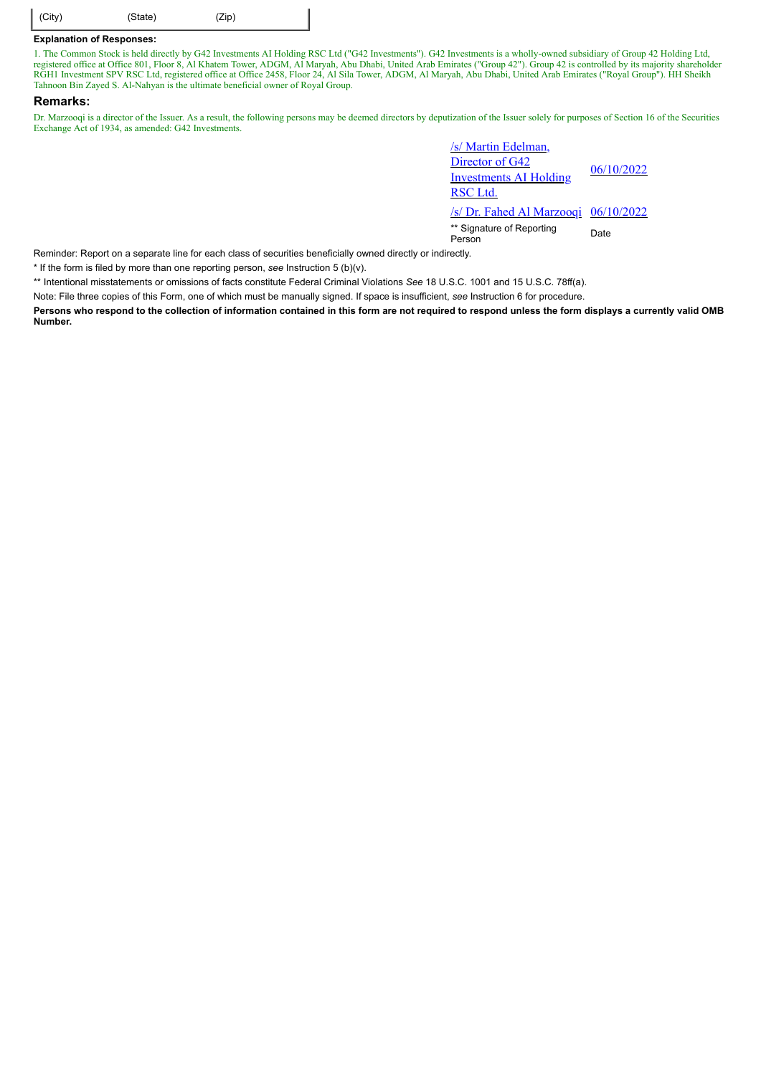| $\Big $ (City)<br>(State)<br>(Zip) |  |
|------------------------------------|--|
|------------------------------------|--|

#### **Explanation of Responses:**

1. The Common Stock is held directly by G42 Investments AI Holding RSC Ltd ("G42 Investments"). G42 Investments is a wholly-owned subsidiary of Group 42 Holding Ltd, registered office at Office 801, Floor 8, Al Khatem Tower, ADGM, Al Maryah, Abu Dhabi, United Arab Emirates ("Group 42"). Group 42 is controlled by its majority shareholder RGH1 Investment SPV RSC Ltd, registered office at Office 2458, Floor 24, Al Sila Tower, ADGM, Al Maryah, Abu Dhabi, United Arab Emirates ("Royal Group"). HH Sheikh Tahnoon Bin Zayed S. Al-Nahyan is the ultimate beneficial owner of Royal Group.

#### **Remarks:**

Dr. Marzooqi is a director of the Issuer. As a result, the following persons may be deemed directors by deputization of the Issuer solely for purposes of Section 16 of the Securities Exchange Act of 1934, as amended: G42 Investments.

| /s/ Martin Edelman,                  |            |  |  |
|--------------------------------------|------------|--|--|
| Director of G42                      |            |  |  |
| <b>Investments AI Holding</b>        | 06/10/2022 |  |  |
| RSC Ltd.                             |            |  |  |
| /s/ Dr. Fahed Al Marzoogi 06/10/2022 |            |  |  |
|                                      |            |  |  |

\*\* Signature of Reporting <sub>Date</sub><br>Person

Reminder: Report on a separate line for each class of securities beneficially owned directly or indirectly.

\* If the form is filed by more than one reporting person, *see* Instruction 5 (b)(v).

\*\* Intentional misstatements or omissions of facts constitute Federal Criminal Violations *See* 18 U.S.C. 1001 and 15 U.S.C. 78ff(a).

Note: File three copies of this Form, one of which must be manually signed. If space is insufficient, *see* Instruction 6 for procedure.

**Persons who respond to the collection of information contained in this form are not required to respond unless the form displays a currently valid OMB Number.**